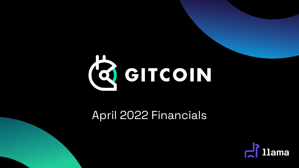

### April 2022 Financials

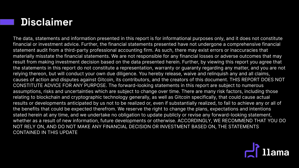### **Disclaimer**

The data, statements and information presented in this report is for informational purposes only, and it does not constitute financial or investment advice. Further, the financial statements presented have not undergone a comprehensive financial statement audit from a third-party professional accounting firm. As such, there may exist errors or inaccuracies that materially misstate the financial statements. We are not responsible for any financial losses or adverse outcomes that may result from making investment decision based on the data presented herein. Further, by viewing this report you agree that the statements in this report do not constitute a representation, warranty or guaranty regarding any matter, and you are not relying thereon, but will conduct your own due diligence. You hereby release, waive and relinquish any and all claims, causes of action and disputes against Gitcoin, its contributors, and the creators of this document. THIS REPORT DOES NOT CONSTITUTE ADVICE FOR ANY PURPOSE. The forward-looking statements in this report are subject to numerous assumptions, risks and uncertainties which are subject to change over time. There are many risk factors, including those relating to blockchain and cryptographic technology generally, as well as Gitcoin specifically, that could cause actual results or developments anticipated by us not to be realized or, even if substantially realized, to fail to achieve any or all of the benefits that could be expected therefrom. We reserve the right to change the plans, expectations and intentions stated herein at any time, and we undertake no obligation to update publicly or revise any forward-looking statement, whether as a result of new information, future developments or otherwise. ACCORDINGLY, WE RECOMMEND THAT YOU DO NOT RELY ON, AND DO NOT MAKE ANY FINANCIAL DECISION OR INVESTMENT BASED ON, THE STATEMENTS CONTAINED IN THIS UPDATE

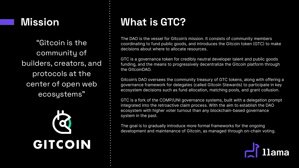### **Mission**

"Gitcoin is the community of builders, creators, and protocols at the center of open web ecosystems"



## **What is GTC?**

The DAO is the vessel for Gitcoin's mission. It consists of community members coordinating to fund public goods, and introduces the Gitcoin token (GTC) to make decisions about where to allocate resources.

GTC is a governance token for credibly neutral developer talent and public goods funding, and the means to progressively decentralize the Gitcoin platform through the GitcoinDAO.

Gitcoin's DAO oversees the community treasury of GTC tokens, along with offering a governance framework for delegates (called Gitcoin Stewards) to participate in key ecosystem decisions such as fund allocation, matching pools, and grant collusion.

GTC is a fork of the COMP/UNI governance systems, built with a delegation prompt integrated into the retroactive claim process. With the aim to establish the DAO ecosystem with higher voter turnout than any blockchain-based governance system in the past.

The goal is to gradually introduce more formal frameworks for the ongoing development and maintenance of Gitcoin, as managed through on-chain voting.

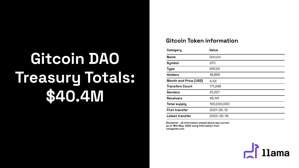# **Gitcoin DAO Treasury Totals: \$40.4M**

#### **Gitcoin Token information**

| Category               | Value             |
|------------------------|-------------------|
| <b>Name</b>            | Gitcoin           |
| Symbol                 | GTC               |
| Type                   | ERC <sub>20</sub> |
| <b>Holders</b>         | 18,855            |
| Month end Price (USD)  | 4.53              |
| <b>Transfers Count</b> | 171,246           |
| <b>Senders</b>         | 31,227            |
| <b>Receivers</b>       | 45,141            |
| <b>Total supply</b>    | 100,000,000       |
| <b>First transfer</b>  | 2021-05-12        |
| Latest transfer        | 2022-05-18        |

**Disclaimer - all information stated above was correct as of 18th May 2022 using information from coingecko.com**

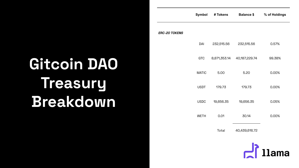# **Gitcoin DAO Treasury Breakdown**

**Symbol # Tokens Balance \$ % of Holdings ERC-20 TOKENS** DAI 232,515.56 232,515.56 0.57% GTC 8,871,353.14 40,187,229.74 99.38% MATIC 5.00 5.20 0.00% USDT 179.73 179.73 0.00% USDC 19,656.35 19,656.35 0.05% WETH 0.01 30.14 0.00% Total 40,439,616.72

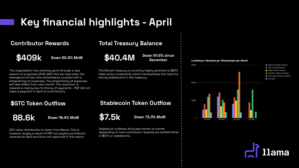## **Key financial highlights - April**

#### **Contributor Rewards**

**\$409k Down 50.3% MoM**

The organisation has recently gone through a new season of proposals (S14). With this we have seen the emergence of two new workstreams coupled with a streamlining of expenses. The streamlining of expenses will take effect from next month. The reduction in rewards is mainly due to timing of payments - PGF did not make a payment in April to contributors.

#### **\$GTC Token Outflow**



**88.6k Down 18.4% MoM**

GTC token distribution is down from March. This is however largely a result of PGF not paying contributor rewards for April and thus not captured in this report.

#### **Total Treasury Balance**

**\$40.4M Down 61.6% since December**

The Gitcoin treasury is currently highly sensitive to \$GTC token price movements, which necessitates the need for having stablecoins in the treasury.

#### **Stablecoin Token Outflow**



**\$7.5k Down 73.3% MoM**

Stablecoin outflows fluctuate month on month depending on how contributor rewards are settled either in \$GTC or stablecoins.



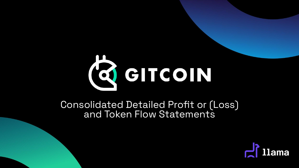

Consolidated Detailed Profit or (Loss) and Token Flow Statements

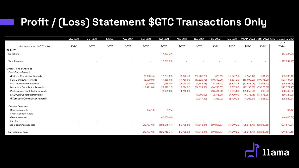# **Profit / (Loss) Statement \$GTC Transactions Only**

|                                                  | May 2021                 | Jun 2021                 | <b>Jul 2021</b>          | Aug 2021 | Sep 2021     | Oct 2021                 | <b>Nov 2021</b> | Dec 2021     | Jan 2022     | Feb 2022      |                                      |                | March 2022 April 2022 GTD (Genesis to date) |
|--------------------------------------------------|--------------------------|--------------------------|--------------------------|----------|--------------|--------------------------|-----------------|--------------|--------------|---------------|--------------------------------------|----------------|---------------------------------------------|
|                                                  |                          |                          |                          |          |              |                          |                 |              |              |               |                                      |                | GTD                                         |
| Amounts shown in GTC token                       | \$GTC                    | \$GTC                    | \$GTC                    | \$GTC    | \$GTC        | \$GTC                    | \$GTC           | <b>SGTC</b>  | \$GTC        | <b>\$GTC</b>  | \$GTC                                | \$GTC          | <b>TOTAL</b>                                |
| <b>INFLOW</b>                                    |                          |                          |                          |          |              |                          |                 |              |              |               |                                      |                |                                             |
| Donations                                        | $\sim$                   | $\sim$                   |                          |          | $\sim$       | (17, 237.29)             |                 |              |              |               |                                      | $\sim$         | (17, 237.29)                                |
|                                                  |                          |                          |                          |          |              |                          |                 |              |              |               |                                      |                |                                             |
| <b>Total Revenue</b>                             |                          |                          |                          |          |              | (17, 237.29)             |                 |              |              |               |                                      | $\overline{a}$ | (17, 237.29)                                |
|                                                  |                          |                          |                          |          |              |                          |                 |              |              |               |                                      |                |                                             |
| <b>OPERATING EXPENSES</b><br>Contributor Rewards |                          |                          |                          |          |              |                          |                 |              |              |               |                                      |                |                                             |
|                                                  |                          |                          |                          |          |              |                          |                 |              |              |               |                                      |                |                                             |
| dGitcoin Contributor Rewards                     |                          |                          |                          |          | (8,030.76)   | (17, 237, 29)            | (8,390.78)      | (29,902.23)  | (478.65)     | (11, 077, 59) | (7,966.14)                           | (301.75)       | (83, 385.18)                                |
| FDD Conributor Rewards                           |                          |                          |                          |          | (2,500.00)   | (19, 866.00)             | (19,750.00)     | (19, 525.75) | (10, 700.00) | (18, 396, 20) | 16,000.00                            | (19, 396.20)   | (126, 134.14)                               |
| MMM Contributor Rewards                          |                          |                          |                          |          | (700.00)     | (115.00)                 | (5,070.00)      | (4,966.38)   | (6, 233.42)  | (8,804.26)    | (12,656.09)                          | (8,078.12)     | (46, 623.26)                                |
| Moonshot Contributor Rewards                     |                          |                          |                          |          | (15, 471.00) | (23, 372, 17)            | (18,016.02)     | (34, 029.53) | (16, 238.57) | (15, 217.00)  | (22, 155.00)                         | (35, 223.00)   | (179, 722.29)                               |
| Public goods Contributor Rewards                 |                          |                          |                          |          |              | (8,075.00)               | (4,768.80)      |              | (18,694.50)  | (12, 855.00)  | (35, 855.00)                         | (200.00)       | (80, 448.30)                                |
| DAO Ops Contributor rewards                      |                          |                          |                          |          |              |                          |                 | (1,900.00)   | (2,375.00)   | (7,700.00)    | (9, 773.95)                          | (17, 575.05)   | (39, 324.00)                                |
| dCompass Contributor rewards                     |                          |                          |                          |          |              |                          |                 | (7, 519, 39) | (4, 338.72)  | (4,999.22)    | (4, 205.61)                          | (7,826.57)     | (28, 889.51)                                |
| General Expenses                                 |                          |                          |                          |          |              |                          |                 |              |              |               |                                      |                |                                             |
| Reimbursements                                   |                          |                          |                          |          | (36.18)      | (9.95)                   |                 |              |              |               |                                      |                | (46.12)                                     |
| <b>Smart Contract Audit</b>                      |                          |                          |                          |          |              |                          |                 |              |              |               |                                      |                |                                             |
| Grants awarded                                   |                          |                          |                          |          |              | (40,000.00)              |                 |              |              |               |                                      |                | (40,000.00)                                 |
| Gas fees                                         | $\sim$                   |                          | $\sim$                   |          |              | $\overline{\phantom{a}}$ |                 |              |              |               |                                      |                |                                             |
| Total operating expenses                         | $\overline{\phantom{a}}$ | $\sim$                   | $\sim$                   | $\sim$   | (26, 737.93) | (108, 675.41)            | (55,995.60)     | (97, 843.27) | (59,058.87)  | (79,049.26)   | $(108,611.79)$ $(88,600.68)$         |                | (624, 572.81)                               |
|                                                  |                          |                          |                          |          |              |                          |                 |              |              |               |                                      |                |                                             |
| Net income / (loss)                              | $\overline{a}$           | $\overline{\phantom{a}}$ | $\overline{\phantom{a}}$ | $\sim$   | (26, 737.93) | (125, 912.71)            | (55,995.60)     | (97, 843.27) | (59,058.87)  |               | (79,049.26) (108,611.79) (88,600.68) |                | (641, 810.10)                               |

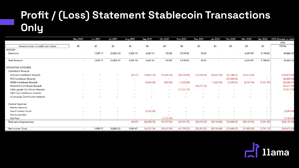# **Profit / (Loss) Statement Stablecoin Transactions Only**

|                                     | May 2021 | Jun 2021                 | <b>Jul 2021</b>          | Aug 2021                 | Sep 2021      | Oct 2021      | Nov 2021                 | Dec 2021                 | Jan 2022                 | Feb 2022     | <b>Mar 2022</b>          | Apr 2022                 | GTD (Genesis to date) |
|-------------------------------------|----------|--------------------------|--------------------------|--------------------------|---------------|---------------|--------------------------|--------------------------|--------------------------|--------------|--------------------------|--------------------------|-----------------------|
|                                     |          |                          |                          |                          |               |               |                          |                          |                          |              |                          |                          | GTD                   |
| Amounts shown in stable coin tokens | \$0      | \$0                      | \$0                      | \$0                      | \$0           | \$0           | \$0                      | \$0                      | \$0                      | \$0          | \$0                      | \$0                      | <b>TOTAL</b>          |
| <b>INFLOW</b>                       |          |                          |                          |                          |               |               |                          |                          |                          |              |                          |                          |                       |
| Donations                           | $\sim$   | 1,029.17                 | 32,824.25                | 2,038.74                 | 6,061.41      | 100.00        | 5,518.03                 | 10.00                    |                          |              | 6,339.89                 | 5,740.83                 | 59,662.33             |
|                                     |          |                          |                          |                          |               |               |                          |                          |                          |              |                          |                          |                       |
| <b>Total Revenue</b>                | $\sim$   | 1,029.17                 | 32,824.25                | 2,038.74                 | 6,061.41      | 100.00        | 5,518.03                 | 10.00                    |                          |              | 6,339.89                 | 5,740.83                 | 59,662.33             |
| <b>OPERATING EXPENSES</b>           |          |                          |                          |                          |               |               |                          |                          |                          |              |                          |                          |                       |
| <b>Contributor Rewards</b>          |          |                          |                          |                          |               |               |                          |                          |                          |              |                          |                          |                       |
| dGitcoin Contributor Rewards        |          |                          |                          | (69.27)                  | (14, 862, 75) | (73,080.25)   | (28, 300.00)             | (10,000.00)              | (43,502.50)              | (46, 188.25) | (22, 416.00)             |                          | (238, 419.02)         |
| <b>FDD Conributor Rewards</b>       |          |                          | ٠                        | $\sim$                   |               |               |                          |                          | $\overline{\phantom{a}}$ | (20,000.00)  | $\overline{\phantom{a}}$ | $\overline{\phantom{a}}$ | (20,000.00)           |
| <b>MMM Contributor Rewards</b>      |          |                          |                          | $\overline{a}$           | (2,036.00)    | (550.00)      | (1,500.00)               | $\sim$                   | (1,622.34)               | (6,420.00)   | (5,751.94)               | (7,501.99)               | (25, 382.27)          |
| Moonshot Contributor Rewards        |          | $\overline{\phantom{a}}$ | $\overline{\phantom{a}}$ | ÷                        | <b>COLUM</b>  | $\sim$        | ÷                        | (20, 217.25)             | $\overline{a}$           | -20          | a.                       | <b>Section</b>           | (20, 217.25)          |
| Public goods Contributor Rewards    |          |                          | ٠                        | $\sim$                   |               | $\sim$        | (17, 511.75)             | $\overline{\phantom{a}}$ |                          |              |                          |                          | (17, 511.75)          |
| DAO Ops Contributor rewards         |          | $\overline{\phantom{a}}$ |                          |                          |               |               |                          |                          |                          |              |                          |                          | $\sim$                |
| dCompass Contributor rewards        |          |                          |                          |                          |               |               |                          |                          |                          |              |                          |                          | $-1$                  |
| General Expenses                    |          |                          |                          |                          |               |               |                          |                          |                          |              |                          |                          |                       |
| Reimbursements                      |          |                          |                          |                          |               |               |                          |                          |                          |              |                          |                          | $-10$                 |
| <b>Smart Contract Audit</b>         |          |                          |                          | $\overline{\phantom{a}}$ | (5,500.00)    |               |                          |                          |                          |              |                          |                          | (5,500.00)            |
| Grants awarded                      |          | $\overline{\phantom{a}}$ | $\overline{\phantom{a}}$ | $\sim$                   |               |               |                          |                          |                          |              |                          | $\sim$                   |                       |
| <b>Gas Fees</b>                     | $\sim$   | $\overline{\phantom{a}}$ | $\overline{a}$           | $\sim$                   | $\sim$        | (1, 107.69)   | $\overline{\phantom{a}}$ | $\sim$                   | $\sim$                   | $\sim$       | $\sim$                   |                          | (1, 107.69)           |
| <b>Total operating expenses</b>     | $\sim$   | $\blacksquare$           | $\overline{\phantom{a}}$ | (69.27)                  | (22, 398.75)  | (74, 737, 94) | (47, 311.75)             | (30, 217.25)             | (45, 124.84)             | (72,608.25)  | (28, 167.94)             | (7,501.99)               | (328, 137.98)         |
|                                     |          |                          |                          |                          |               |               |                          |                          |                          |              |                          |                          |                       |
| Net income / (loss)                 | $\sim$   | 1.029.17                 | 32,824.25                | 1,969.47                 | (16, 337.34)  | (74, 637, 94) | (41, 793.72)             | (30, 207.25)             | (45, 124.84)             | (72,608.25)  | (21, 828.05)             | (1,761.16)               | (268, 475.65)         |

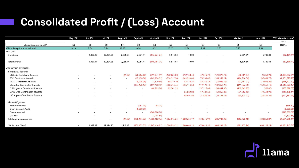# **Consolidated Profit / (Loss) Account**

| May 2021                 | Jun 2021 | <b>Jul 2021</b> | Aug 2021                 | Sep 2021            | Oct 2021                   | <b>Nov 2021</b>                  | Dec 2021                                   | Jan 2022                                | Feb 2022                      | Mar 2022                      | Apr 2022                                   | GTD (Genesis to date)                   |
|--------------------------|----------|-----------------|--------------------------|---------------------|----------------------------|----------------------------------|--------------------------------------------|-----------------------------------------|-------------------------------|-------------------------------|--------------------------------------------|-----------------------------------------|
|                          |          |                 |                          |                     |                            |                                  |                                            |                                         |                               |                               |                                            | GTD                                     |
| \$0                      | \$0      | \$0             | \$0                      | \$0                 | \$0                        | \$0                              | \$0                                        | \$0                                     | \$0                           | \$0                           | \$0                                        | <b>TOTAL</b>                            |
| 6.18                     | 7.84     | 7.26            | 11.83                    | 6.96                | 8.52                       | 17.13                            | 12.78                                      | 7.34                                    | 6.76                          | 7.27                          | 4.53                                       |                                         |
|                          |          |                 |                          |                     |                            |                                  |                                            |                                         |                               |                               |                                            |                                         |
| $\sim$ .                 | 1,029.17 | 32,824.25       | 2,038.74                 | 6,061.41            | (146, 761.74)              | 5,518.03                         | 10.00                                      |                                         |                               | 6,339.89                      | 5,740.83                                   | (87, 199.41)                            |
|                          |          |                 |                          |                     |                            |                                  |                                            |                                         |                               |                               |                                            |                                         |
| $\sim$                   |          |                 |                          | 6,061.41            | (146, 761.74)              |                                  |                                            | $\sim$                                  | $\overline{\phantom{a}}$      |                               |                                            | (87, 199.41)                            |
|                          |          |                 |                          |                     |                            |                                  |                                            |                                         |                               |                               |                                            |                                         |
|                          |          |                 |                          |                     |                            |                                  |                                            |                                         |                               |                               |                                            |                                         |
|                          |          |                 |                          |                     |                            |                                  |                                            |                                         |                               |                               |                                            |                                         |
|                          |          | $\sim$          |                          |                     |                            |                                  |                                            |                                         |                               |                               |                                            | (1, 104, 737, 81)                       |
|                          |          | $\sim$          | $\sim$                   |                     |                            |                                  |                                            |                                         |                               |                               |                                            | (1, 201, 595.97)                        |
|                          |          | <b>COLL</b>     | $\overline{\phantom{a}}$ | (6,908.00)          | (1,529.80)                 | (88, 349, 10)                    | (63, 470.27)                               | (47, 375.67)                            | (65,936.76)                   | (97, 761, 71)                 | (44,095.85)                                | (415, 427, 17)                          |
|                          |          | $\sim$          | $\sim$                   | (107, 678.16)       | (199, 130.92)              | (308, 614.44)                    | (455, 114.58)                              | (119, 191.10)                           | (102, 866.92)                 | (161,066.85)                  | (159, 560.19)                              | (1,613,223.17)                          |
|                          |          |                 | $\sim$                   |                     | (68,799.00)                | (99, 201.29)                     |                                            | (137, 217.63)                           | (86, 899.80)                  | (260, 665.85)                 | (906.00)                                   | (653,689.57)                            |
|                          |          |                 |                          |                     |                            |                                  | (24.282.00)                                | (17, 432, 50)                           | (52.052.00)                   | (71,056.63)                   | (79.614.98)                                | (244, 438.11)                           |
|                          |          |                 |                          |                     |                            | $\overline{\phantom{a}}$         | (96,097.80)                                | (31, 846.23)                            | (33, 794, 74)                 | (30, 574.77)                  | (35, 454, 35)                              | (227,767.90)                            |
|                          |          |                 |                          |                     |                            |                                  |                                            |                                         |                               |                               |                                            |                                         |
|                          |          |                 | $\sim$                   | (251.78)            | (84.74)                    |                                  |                                            |                                         |                               |                               |                                            | (336.52)                                |
|                          |          |                 | $\overline{a}$           | (5,500.00)          | $\sim$                     |                                  |                                            |                                         |                               |                               |                                            | (5,500.00)                              |
|                          |          |                 | $\overline{\phantom{a}}$ | $\sim$              | (340, 800.00)              |                                  |                                            |                                         |                               |                               |                                            | (340, 800.00)                           |
|                          |          | Sec.            |                          | <b>COL</b>          | (1, 107.69)                |                                  |                                            | $\sim$                                  | $\sim$                        |                               |                                            | (1, 107.69)                             |
| $\sim$                   | $\sim$   | $\sim$          | (69.27)                  | (208, 494.76)       | (1,000,652.46)             | (1,006,516.34)                   | (1, 280, 654, 19)                          | (478, 616.92)                           | (606,981.25)                  | (817, 775.65)                 | (408,863.07)                               | (4,581,985.19)                          |
| $\overline{\phantom{a}}$ | 1,029.17 | 32.824.25       | 1.969.47                 | (202.433.35)        | (1, 147, 414, 21)          | (1,000,998.31)                   | (1, 280, 644, 19)                          | (478, 616.92)                           | (606,981.25)                  | (811, 435.76)                 | (403, 122.24)                              | (4,681,265.32)                          |
|                          |          | 1,029.17        | 32,824.25                | 2,038.74<br>(69.27) | (70.756.82)<br>(17,400.00) | (219, 941, 99)<br>(169, 258, 32) | 5,518.03<br>(172, 034.00)<br>(338, 317.50) | 10.00<br>(392, 150.44)<br>(249, 539.09) | (47, 015, 79)<br>(78, 538.00) | (121.072.73)<br>(144, 358.29) | 6,339.89<br>(80, 329, 84)<br>(116, 320.00) | 5,740.83<br>(1, 366.93)<br>(87, 864.77) |

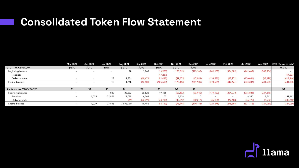### **Consolidated Token Flow Statement**

|                          | May 2021 | Jun 2021    | Jul 2021 | Aug 2021    | Sep 2021  | Oct 2021    | <b>Nov 2021</b> | Dec 2021   | Jan 2022       | Feb 2022          | Mar 2022   | Apr 2022   | GTD (Gensis to date) |
|--------------------------|----------|-------------|----------|-------------|-----------|-------------|-----------------|------------|----------------|-------------------|------------|------------|----------------------|
| <b>GTC - TOKEN FLOW</b>  | \$GTC    | <b>SGTC</b> | \$GTC    | <b>SGTC</b> | \$GTC     | <b>SGTC</b> | <b>\$GTC</b>    | \$GTC      |                |                   |            |            | <b>TOTAL</b>         |
| Beginning balance        |          |             |          | 18          | 1,768     | (16,903)    | (125, 563)      | (173, 168) | (241, 109)     | (374, 689)        | (442, 661) | (543, 306) |                      |
| Receipts                 |          |             |          |             |           | (17, 237)   | $\sim$          | 1,000      | $\sim$         | <b>CONTRACTOR</b> |            |            | (17, 237)            |
| Disbursements            |          |             | 18       | 1.751       | (18,671)  | (91, 423)   | (47, 605)       | (67, 941)  | (133, 580)     | (67, 972)         | (100, 646) | (88, 299)  | (614, 368)           |
| Ending balance           |          |             | 18       | 1,768       | (16,903)  | (125, 563)  | (173, 168)      | (241, 109) | (374, 689)     | (442, 661)        | (543, 306) | (631, 605) | (631, 605)           |
|                          |          |             |          |             |           |             |                 |            |                |                   |            |            |                      |
| Stablecoin - TOKEN FLOW  | \$0      | \$0         | \$0      | \$0         | \$0       | \$0         | \$0             | \$0        |                |                   |            |            | SO                   |
| <b>Beginning balance</b> |          |             | 1,029    | 33,853      | 35,823    | 19,486      | (55, 152)       | (96, 946)  | (179, 153)     | (224, 278)        | (296, 886) | (327, 318) |                      |
| Receipts                 |          | 1,029       | 32,824   | 2,039       | 6,061     | 100         | 5,518           | 10         | <b>Section</b> |                   | 6,340      | 5,741      | 59,662               |
| Disbursements            |          |             |          | (69)        | (22, 399) | (74, 738)   | (47, 312)       | (82, 217)  | (45, 125)      | (72,608)          | (36, 772)  | (7, 502)   | (388, 742)           |
| Ending balance           |          | 1,029       | 33,853   | 35,822.90   | 19,486    | (55, 152)   | (96, 946)       | (179, 153) | (224, 278)     | (296, 886)        | (327, 318) | (329,080)  | (329, 080)           |

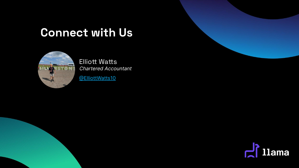## **Connect with Us**



**Elliott Watts** Chartered Accountant

[@ElliottWatts10](https://twitter.com/ElliottWatts10)